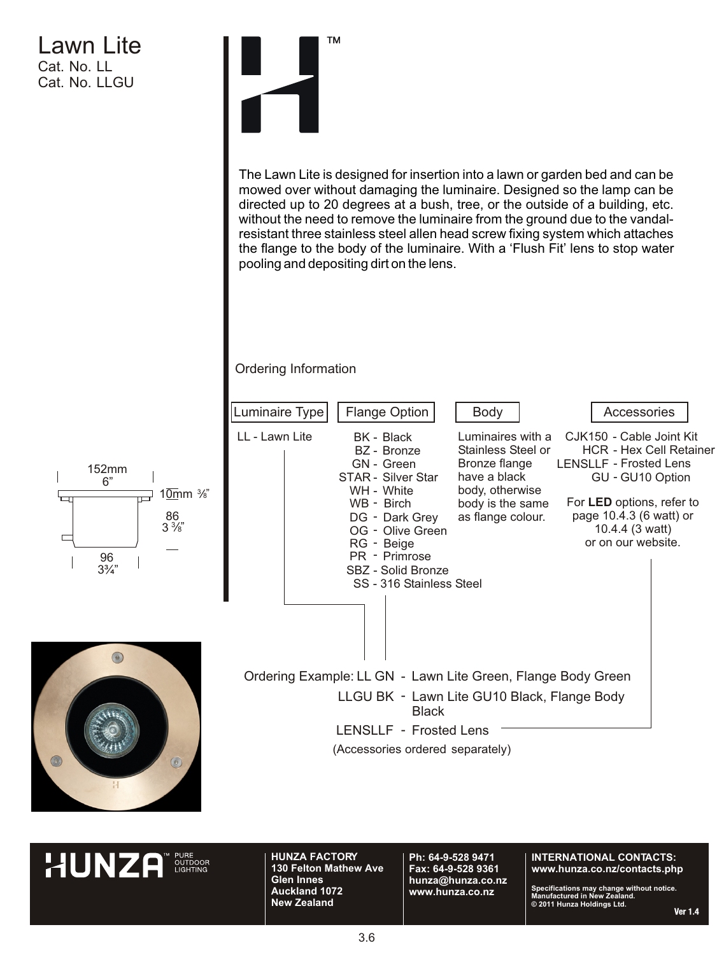# Lawn Lite Cat. No. LL Cat. No. LLGU



Ordering Information

The Lawn Lite is designed for insertion into a lawn or garden bed and can be mowed over without damaging the luminaire. Designed so the lamp can be directed up to 20 degrees at a bush, tree, or the outside of a building, etc. without the need to remove the luminaire from the ground due to the vandalresistant three stainless steel allen head screw fixing system which attaches the flange to the body of the luminaire. With a 'Flush Fit' lens to stop water pooling and depositing dirt on the lens.



**HUNZA** 

**HUNZA FACTORY 130 Felton Mathew Ave Glen Innes Auckland 1072 New Zealand**

**Ph: 64-9-528 9471 Fax: 64-9-528 9361 hunza@hunza.co.nz www.hunza.co.nz**

#### **INTERNATIONAL CONTACTS: www.hunza.co.nz/contacts.php**

**Specifications may change without notice. Manufactured in New Zealand. © 2011 Hunza Holdings Ltd.**

Ver  $14$